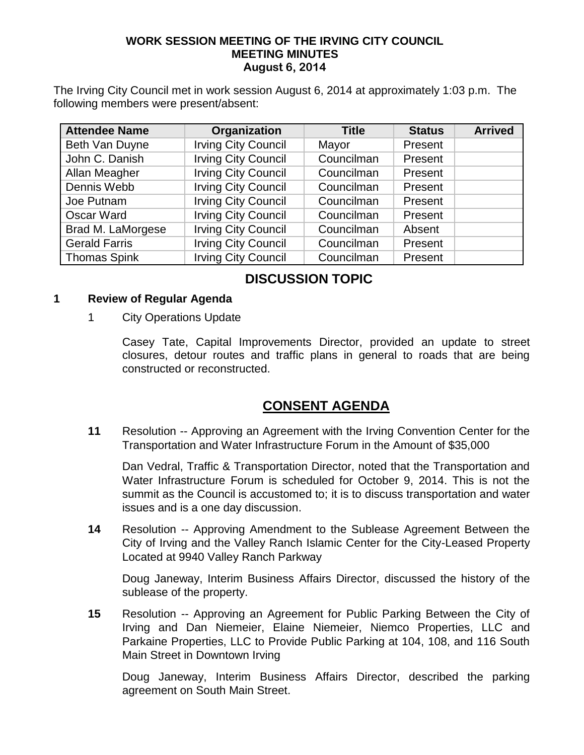#### **WORK SESSION MEETING OF THE IRVING CITY COUNCIL MEETING MINUTES August 6, 2014**

The Irving City Council met in work session August 6, 2014 at approximately 1:03 p.m. The following members were present/absent:

| <b>Attendee Name</b> | Organization               | <b>Title</b> | <b>Status</b> | <b>Arrived</b> |
|----------------------|----------------------------|--------------|---------------|----------------|
| Beth Van Duyne       | <b>Irving City Council</b> | Mayor        | Present       |                |
| John C. Danish       | <b>Irving City Council</b> | Councilman   | Present       |                |
| Allan Meagher        | <b>Irving City Council</b> | Councilman   | Present       |                |
| Dennis Webb          | <b>Irving City Council</b> | Councilman   | Present       |                |
| Joe Putnam           | <b>Irving City Council</b> | Councilman   | Present       |                |
| Oscar Ward           | <b>Irving City Council</b> | Councilman   | Present       |                |
| Brad M. LaMorgese    | <b>Irving City Council</b> | Councilman   | Absent        |                |
| <b>Gerald Farris</b> | <b>Irving City Council</b> | Councilman   | Present       |                |
| <b>Thomas Spink</b>  | <b>Irving City Council</b> | Councilman   | Present       |                |

# **DISCUSSION TOPIC**

### **1 Review of Regular Agenda**

1 City Operations Update

Casey Tate, Capital Improvements Director, provided an update to street closures, detour routes and traffic plans in general to roads that are being constructed or reconstructed.

# **CONSENT AGENDA**

**11** Resolution -- Approving an Agreement with the Irving Convention Center for the Transportation and Water Infrastructure Forum in the Amount of \$35,000

Dan Vedral, Traffic & Transportation Director, noted that the Transportation and Water Infrastructure Forum is scheduled for October 9, 2014. This is not the summit as the Council is accustomed to; it is to discuss transportation and water issues and is a one day discussion.

**14** Resolution -- Approving Amendment to the Sublease Agreement Between the City of Irving and the Valley Ranch Islamic Center for the City-Leased Property Located at 9940 Valley Ranch Parkway

Doug Janeway, Interim Business Affairs Director, discussed the history of the sublease of the property.

**15** Resolution -- Approving an Agreement for Public Parking Between the City of Irving and Dan Niemeier, Elaine Niemeier, Niemco Properties, LLC and Parkaine Properties, LLC to Provide Public Parking at 104, 108, and 116 South Main Street in Downtown Irving

Doug Janeway, Interim Business Affairs Director, described the parking agreement on South Main Street.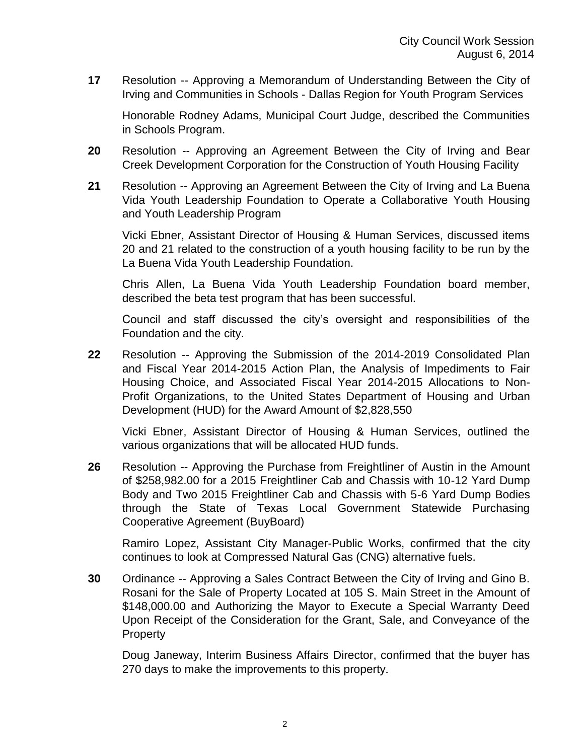**17** Resolution -- Approving a Memorandum of Understanding Between the City of Irving and Communities in Schools - Dallas Region for Youth Program Services

Honorable Rodney Adams, Municipal Court Judge, described the Communities in Schools Program.

- **20** Resolution -- Approving an Agreement Between the City of Irving and Bear Creek Development Corporation for the Construction of Youth Housing Facility
- **21** Resolution -- Approving an Agreement Between the City of Irving and La Buena Vida Youth Leadership Foundation to Operate a Collaborative Youth Housing and Youth Leadership Program

Vicki Ebner, Assistant Director of Housing & Human Services, discussed items 20 and 21 related to the construction of a youth housing facility to be run by the La Buena Vida Youth Leadership Foundation.

Chris Allen, La Buena Vida Youth Leadership Foundation board member, described the beta test program that has been successful.

Council and staff discussed the city's oversight and responsibilities of the Foundation and the city.

**22** Resolution -- Approving the Submission of the 2014-2019 Consolidated Plan and Fiscal Year 2014-2015 Action Plan, the Analysis of Impediments to Fair Housing Choice, and Associated Fiscal Year 2014-2015 Allocations to Non-Profit Organizations, to the United States Department of Housing and Urban Development (HUD) for the Award Amount of \$2,828,550

Vicki Ebner, Assistant Director of Housing & Human Services, outlined the various organizations that will be allocated HUD funds.

**26** Resolution -- Approving the Purchase from Freightliner of Austin in the Amount of \$258,982.00 for a 2015 Freightliner Cab and Chassis with 10-12 Yard Dump Body and Two 2015 Freightliner Cab and Chassis with 5-6 Yard Dump Bodies through the State of Texas Local Government Statewide Purchasing Cooperative Agreement (BuyBoard)

Ramiro Lopez, Assistant City Manager-Public Works, confirmed that the city continues to look at Compressed Natural Gas (CNG) alternative fuels.

**30** Ordinance -- Approving a Sales Contract Between the City of Irving and Gino B. Rosani for the Sale of Property Located at 105 S. Main Street in the Amount of \$148,000.00 and Authorizing the Mayor to Execute a Special Warranty Deed Upon Receipt of the Consideration for the Grant, Sale, and Conveyance of the **Property** 

Doug Janeway, Interim Business Affairs Director, confirmed that the buyer has 270 days to make the improvements to this property.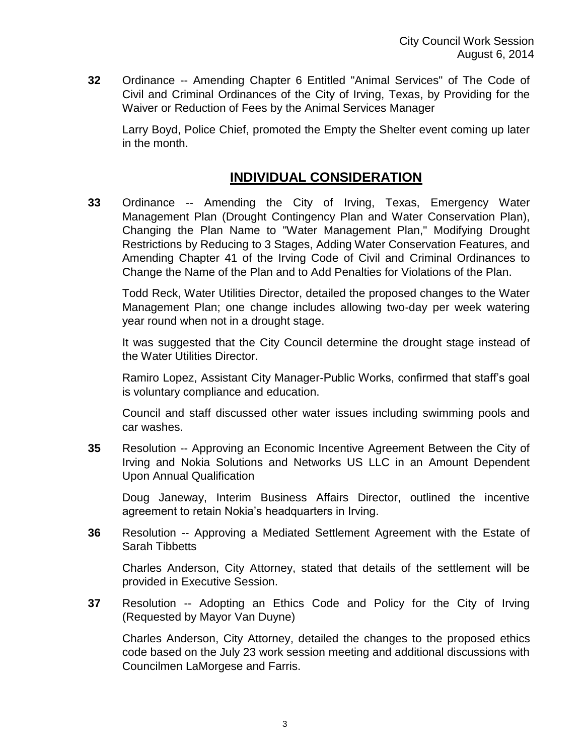**32** Ordinance -- Amending Chapter 6 Entitled "Animal Services" of The Code of Civil and Criminal Ordinances of the City of Irving, Texas, by Providing for the Waiver or Reduction of Fees by the Animal Services Manager

Larry Boyd, Police Chief, promoted the Empty the Shelter event coming up later in the month.

## **INDIVIDUAL CONSIDERATION**

**33** Ordinance -- Amending the City of Irving, Texas, Emergency Water Management Plan (Drought Contingency Plan and Water Conservation Plan), Changing the Plan Name to "Water Management Plan," Modifying Drought Restrictions by Reducing to 3 Stages, Adding Water Conservation Features, and Amending Chapter 41 of the Irving Code of Civil and Criminal Ordinances to Change the Name of the Plan and to Add Penalties for Violations of the Plan.

Todd Reck, Water Utilities Director, detailed the proposed changes to the Water Management Plan; one change includes allowing two-day per week watering year round when not in a drought stage.

It was suggested that the City Council determine the drought stage instead of the Water Utilities Director.

Ramiro Lopez, Assistant City Manager-Public Works, confirmed that staff's goal is voluntary compliance and education.

Council and staff discussed other water issues including swimming pools and car washes.

**35** Resolution -- Approving an Economic Incentive Agreement Between the City of Irving and Nokia Solutions and Networks US LLC in an Amount Dependent Upon Annual Qualification

Doug Janeway, Interim Business Affairs Director, outlined the incentive agreement to retain Nokia's headquarters in Irving.

**36** Resolution -- Approving a Mediated Settlement Agreement with the Estate of Sarah Tibbetts

Charles Anderson, City Attorney, stated that details of the settlement will be provided in Executive Session.

**37** Resolution -- Adopting an Ethics Code and Policy for the City of Irving (Requested by Mayor Van Duyne)

Charles Anderson, City Attorney, detailed the changes to the proposed ethics code based on the July 23 work session meeting and additional discussions with Councilmen LaMorgese and Farris.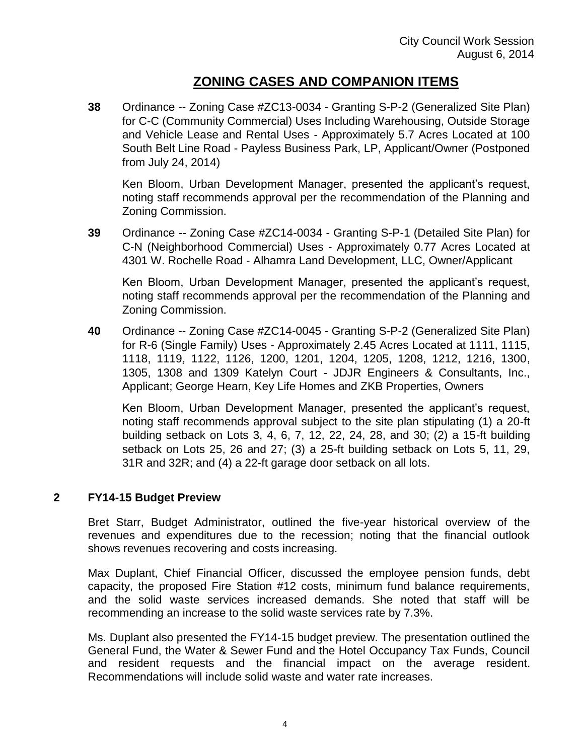## **ZONING CASES AND COMPANION ITEMS**

**38** Ordinance -- Zoning Case #ZC13-0034 - Granting S-P-2 (Generalized Site Plan) for C-C (Community Commercial) Uses Including Warehousing, Outside Storage and Vehicle Lease and Rental Uses - Approximately 5.7 Acres Located at 100 South Belt Line Road - Payless Business Park, LP, Applicant/Owner (Postponed from July 24, 2014)

Ken Bloom, Urban Development Manager, presented the applicant's request, noting staff recommends approval per the recommendation of the Planning and Zoning Commission.

**39** Ordinance -- Zoning Case #ZC14-0034 - Granting S-P-1 (Detailed Site Plan) for C-N (Neighborhood Commercial) Uses - Approximately 0.77 Acres Located at 4301 W. Rochelle Road - Alhamra Land Development, LLC, Owner/Applicant

Ken Bloom, Urban Development Manager, presented the applicant's request, noting staff recommends approval per the recommendation of the Planning and Zoning Commission.

**40** Ordinance -- Zoning Case #ZC14-0045 - Granting S-P-2 (Generalized Site Plan) for R-6 (Single Family) Uses - Approximately 2.45 Acres Located at 1111, 1115, 1118, 1119, 1122, 1126, 1200, 1201, 1204, 1205, 1208, 1212, 1216, 1300, 1305, 1308 and 1309 Katelyn Court - JDJR Engineers & Consultants, Inc., Applicant; George Hearn, Key Life Homes and ZKB Properties, Owners

Ken Bloom, Urban Development Manager, presented the applicant's request, noting staff recommends approval subject to the site plan stipulating (1) a 20-ft building setback on Lots 3, 4, 6, 7, 12, 22, 24, 28, and 30; (2) a 15-ft building setback on Lots 25, 26 and 27; (3) a 25-ft building setback on Lots 5, 11, 29, 31R and 32R; and (4) a 22-ft garage door setback on all lots.

### **2 FY14-15 Budget Preview**

Bret Starr, Budget Administrator, outlined the five-year historical overview of the revenues and expenditures due to the recession; noting that the financial outlook shows revenues recovering and costs increasing.

Max Duplant, Chief Financial Officer, discussed the employee pension funds, debt capacity, the proposed Fire Station #12 costs, minimum fund balance requirements, and the solid waste services increased demands. She noted that staff will be recommending an increase to the solid waste services rate by 7.3%.

Ms. Duplant also presented the FY14-15 budget preview. The presentation outlined the General Fund, the Water & Sewer Fund and the Hotel Occupancy Tax Funds, Council and resident requests and the financial impact on the average resident. Recommendations will include solid waste and water rate increases.